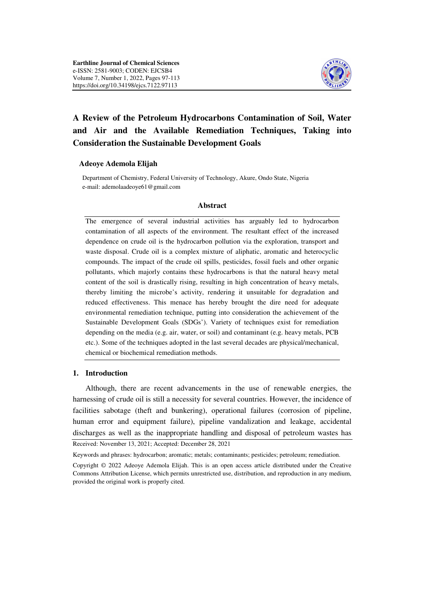

# **A Review of the Petroleum Hydrocarbons Contamination of Soil, Water and Air and the Available Remediation Techniques, Taking into Consideration the Sustainable Development Goals**

#### **Adeoye Ademola Elijah**

 Department of Chemistry, Federal University of Technology, Akure, Ondo State, Nigeria e-mail: ademolaadeoye61@gmail.com

#### **Abstract**

The emergence of several industrial activities has arguably led to hydrocarbon contamination of all aspects of the environment. The resultant effect of the increased dependence on crude oil is the hydrocarbon pollution via the exploration, transport and waste disposal. Crude oil is a complex mixture of aliphatic, aromatic and heterocyclic compounds. The impact of the crude oil spills, pesticides, fossil fuels and other organic pollutants, which majorly contains these hydrocarbons is that the natural heavy metal content of the soil is drastically rising, resulting in high concentration of heavy metals, thereby limiting the microbe's activity, rendering it unsuitable for degradation and reduced effectiveness. This menace has hereby brought the dire need for adequate environmental remediation technique, putting into consideration the achievement of the Sustainable Development Goals (SDGs'). Variety of techniques exist for remediation depending on the media (e.g. air, water, or soil) and contaminant (e.g. heavy metals, PCB etc.). Some of the techniques adopted in the last several decades are physical/mechanical, chemical or biochemical remediation methods.

#### **1. Introduction**

Although, there are recent advancements in the use of renewable energies, the harnessing of crude oil is still a necessity for several countries. However, the incidence of facilities sabotage (theft and bunkering), operational failures (corrosion of pipeline, human error and equipment failure), pipeline vandalization and leakage, accidental discharges as well as the inappropriate handling and disposal of petroleum wastes has

Received: November 13, 2021; Accepted: December 28, 2021

Keywords and phrases: hydrocarbon; aromatic; metals; contaminants; pesticides; petroleum; remediation.

Copyright © 2022 Adeoye Ademola Elijah. This is an open access article distributed under the Creative Commons Attribution License, which permits unrestricted use, distribution, and reproduction in any medium, provided the original work is properly cited.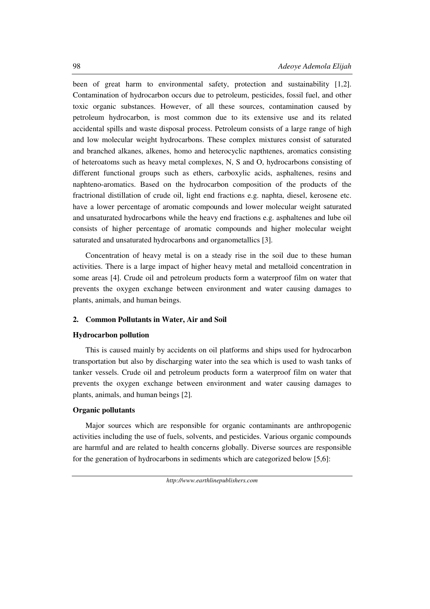been of great harm to environmental safety, protection and sustainability [1,2]. Contamination of hydrocarbon occurs due to petroleum, pesticides, fossil fuel, and other toxic organic substances. However, of all these sources, contamination caused by petroleum hydrocarbon, is most common due to its extensive use and its related accidental spills and waste disposal process. Petroleum consists of a large range of high and low molecular weight hydrocarbons. These complex mixtures consist of saturated and branched alkanes, alkenes, homo and heterocyclic napthtenes, aromatics consisting of heteroatoms such as heavy metal complexes, N, S and O, hydrocarbons consisting of different functional groups such as ethers, carboxylic acids, asphaltenes, resins and naphteno-aromatics. Based on the hydrocarbon composition of the products of the fractrional distillation of crude oil, light end fractions e.g. naphta, diesel, kerosene etc. have a lower percentage of aromatic compounds and lower molecular weight saturated and unsaturated hydrocarbons while the heavy end fractions e.g. asphaltenes and lube oil consists of higher percentage of aromatic compounds and higher molecular weight saturated and unsaturated hydrocarbons and organometallics [3].

Concentration of heavy metal is on a steady rise in the soil due to these human activities. There is a large impact of higher heavy metal and metalloid concentration in some areas [4]. Crude oil and petroleum products form a waterproof film on water that prevents the oxygen exchange between environment and water causing damages to plants, animals, and human beings.

# **2. Common Pollutants in Water, Air and Soil**

### **Hydrocarbon pollution**

This is caused mainly by accidents on oil platforms and ships used for hydrocarbon transportation but also by discharging water into the sea which is used to wash tanks of tanker vessels. Crude oil and petroleum products form a waterproof film on water that prevents the oxygen exchange between environment and water causing damages to plants, animals, and human beings [2].

# **Organic pollutants**

Major sources which are responsible for organic contaminants are anthropogenic activities including the use of fuels, solvents, and pesticides. Various organic compounds are harmful and are related to health concerns globally. Diverse sources are responsible for the generation of hydrocarbons in sediments which are categorized below [5,6]: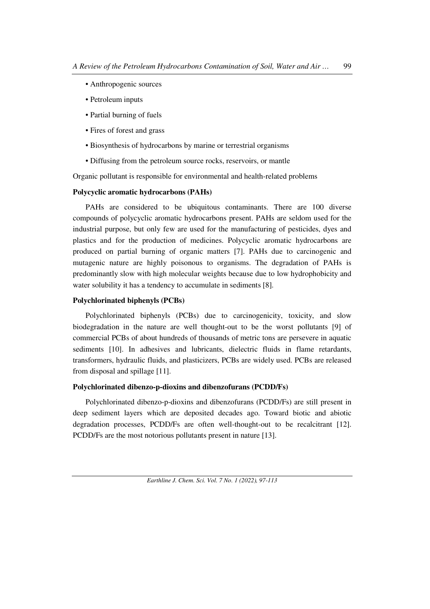- Anthropogenic sources
- Petroleum inputs
- Partial burning of fuels
- Fires of forest and grass
- Biosynthesis of hydrocarbons by marine or terrestrial organisms
- Diffusing from the petroleum source rocks, reservoirs, or mantle

Organic pollutant is responsible for environmental and health-related problems

# **Polycyclic aromatic hydrocarbons (PAHs)**

PAHs are considered to be ubiquitous contaminants. There are 100 diverse compounds of polycyclic aromatic hydrocarbons present. PAHs are seldom used for the industrial purpose, but only few are used for the manufacturing of pesticides, dyes and plastics and for the production of medicines. Polycyclic aromatic hydrocarbons are produced on partial burning of organic matters [7]. PAHs due to carcinogenic and mutagenic nature are highly poisonous to organisms. The degradation of PAHs is predominantly slow with high molecular weights because due to low hydrophobicity and water solubility it has a tendency to accumulate in sediments [8].

# **Polychlorinated biphenyls (PCBs)**

Polychlorinated biphenyls (PCBs) due to carcinogenicity, toxicity, and slow biodegradation in the nature are well thought-out to be the worst pollutants [9] of commercial PCBs of about hundreds of thousands of metric tons are persevere in aquatic sediments [10]. In adhesives and lubricants, dielectric fluids in flame retardants, transformers, hydraulic fluids, and plasticizers, PCBs are widely used. PCBs are released from disposal and spillage [11].

# **Polychlorinated dibenzo-p-dioxins and dibenzofurans (PCDD/Fs)**

Polychlorinated dibenzo-p-dioxins and dibenzofurans (PCDD/Fs) are still present in deep sediment layers which are deposited decades ago. Toward biotic and abiotic degradation processes, PCDD/Fs are often well-thought-out to be recalcitrant [12]. PCDD/Fs are the most notorious pollutants present in nature [13].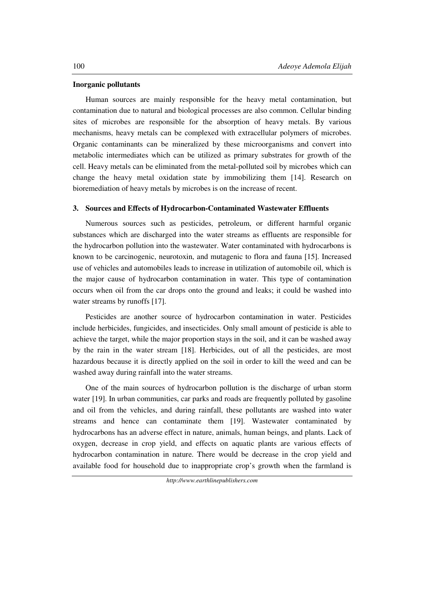#### **Inorganic pollutants**

Human sources are mainly responsible for the heavy metal contamination, but contamination due to natural and biological processes are also common. Cellular binding sites of microbes are responsible for the absorption of heavy metals. By various mechanisms, heavy metals can be complexed with extracellular polymers of microbes. Organic contaminants can be mineralized by these microorganisms and convert into metabolic intermediates which can be utilized as primary substrates for growth of the cell. Heavy metals can be eliminated from the metal-polluted soil by microbes which can change the heavy metal oxidation state by immobilizing them [14]. Research on bioremediation of heavy metals by microbes is on the increase of recent.

### **3. Sources and Effects of Hydrocarbon-Contaminated Wastewater Effluents**

Numerous sources such as pesticides, petroleum, or different harmful organic substances which are discharged into the water streams as effluents are responsible for the hydrocarbon pollution into the wastewater. Water contaminated with hydrocarbons is known to be carcinogenic, neurotoxin, and mutagenic to flora and fauna [15]. Increased use of vehicles and automobiles leads to increase in utilization of automobile oil, which is the major cause of hydrocarbon contamination in water. This type of contamination occurs when oil from the car drops onto the ground and leaks; it could be washed into water streams by runoffs [17].

Pesticides are another source of hydrocarbon contamination in water. Pesticides include herbicides, fungicides, and insecticides. Only small amount of pesticide is able to achieve the target, while the major proportion stays in the soil, and it can be washed away by the rain in the water stream [18]. Herbicides, out of all the pesticides, are most hazardous because it is directly applied on the soil in order to kill the weed and can be washed away during rainfall into the water streams.

One of the main sources of hydrocarbon pollution is the discharge of urban storm water [19]. In urban communities, car parks and roads are frequently polluted by gasoline and oil from the vehicles, and during rainfall, these pollutants are washed into water streams and hence can contaminate them [19]. Wastewater contaminated by hydrocarbons has an adverse effect in nature, animals, human beings, and plants. Lack of oxygen, decrease in crop yield, and effects on aquatic plants are various effects of hydrocarbon contamination in nature. There would be decrease in the crop yield and available food for household due to inappropriate crop's growth when the farmland is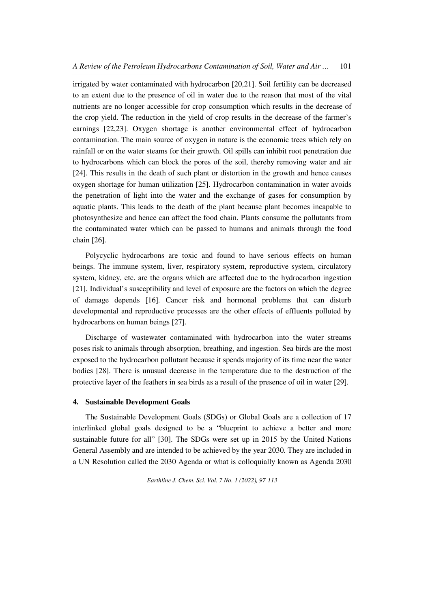irrigated by water contaminated with hydrocarbon [20,21]. Soil fertility can be decreased to an extent due to the presence of oil in water due to the reason that most of the vital nutrients are no longer accessible for crop consumption which results in the decrease of the crop yield. The reduction in the yield of crop results in the decrease of the farmer's earnings [22,23]. Oxygen shortage is another environmental effect of hydrocarbon contamination. The main source of oxygen in nature is the economic trees which rely on rainfall or on the water steams for their growth. Oil spills can inhibit root penetration due to hydrocarbons which can block the pores of the soil, thereby removing water and air [24]. This results in the death of such plant or distortion in the growth and hence causes oxygen shortage for human utilization [25]. Hydrocarbon contamination in water avoids the penetration of light into the water and the exchange of gases for consumption by aquatic plants. This leads to the death of the plant because plant becomes incapable to photosynthesize and hence can affect the food chain. Plants consume the pollutants from the contaminated water which can be passed to humans and animals through the food chain [26].

Polycyclic hydrocarbons are toxic and found to have serious effects on human beings. The immune system, liver, respiratory system, reproductive system, circulatory system, kidney, etc. are the organs which are affected due to the hydrocarbon ingestion [21]. Individual's susceptibility and level of exposure are the factors on which the degree of damage depends [16]. Cancer risk and hormonal problems that can disturb developmental and reproductive processes are the other effects of effluents polluted by hydrocarbons on human beings [27].

Discharge of wastewater contaminated with hydrocarbon into the water streams poses risk to animals through absorption, breathing, and ingestion. Sea birds are the most exposed to the hydrocarbon pollutant because it spends majority of its time near the water bodies [28]. There is unusual decrease in the temperature due to the destruction of the protective layer of the feathers in sea birds as a result of the presence of oil in water [29].

### **4. Sustainable Development Goals**

The Sustainable Development Goals (SDGs) or Global Goals are a collection of 17 interlinked global goals designed to be a "blueprint to achieve a better and more sustainable future for all" [30]. The SDGs were set up in 2015 by the United Nations General Assembly and are intended to be achieved by the year 2030. They are included in a UN Resolution called the 2030 Agenda or what is colloquially known as Agenda 2030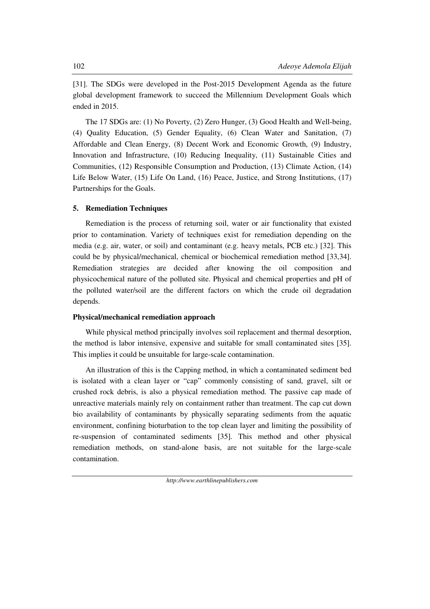[31]. The SDGs were developed in the Post-2015 Development Agenda as the future global development framework to succeed the Millennium Development Goals which ended in 2015.

The 17 SDGs are: (1) No Poverty, (2) Zero Hunger, (3) Good Health and Well-being, (4) Quality Education, (5) Gender Equality, (6) Clean Water and Sanitation, (7) Affordable and Clean Energy, (8) Decent Work and Economic Growth, (9) Industry, Innovation and Infrastructure, (10) Reducing Inequality, (11) Sustainable Cities and Communities, (12) Responsible Consumption and Production, (13) Climate Action, (14) Life Below Water, (15) Life On Land, (16) Peace, Justice, and Strong Institutions, (17) Partnerships for the Goals.

# **5. Remediation Techniques**

Remediation is the process of returning soil, water or air functionality that existed prior to contamination. Variety of techniques exist for remediation depending on the media (e.g. air, water, or soil) and contaminant (e.g. heavy metals, PCB etc.) [32]. This could be by physical/mechanical, chemical or biochemical remediation method [33,34]. Remediation strategies are decided after knowing the oil composition and physicochemical nature of the polluted site. Physical and chemical properties and pH of the polluted water/soil are the different factors on which the crude oil degradation depends.

### **Physical/mechanical remediation approach**

While physical method principally involves soil replacement and thermal desorption, the method is labor intensive, expensive and suitable for small contaminated sites [35]. This implies it could be unsuitable for large-scale contamination.

An illustration of this is the Capping method, in which a contaminated sediment bed is isolated with a clean layer or "cap" commonly consisting of sand, gravel, silt or crushed rock debris, is also a physical remediation method. The passive cap made of unreactive materials mainly rely on containment rather than treatment. The cap cut down bio availability of contaminants by physically separating sediments from the aquatic environment, confining bioturbation to the top clean layer and limiting the possibility of re-suspension of contaminated sediments [35]. This method and other physical remediation methods, on stand-alone basis, are not suitable for the large-scale contamination.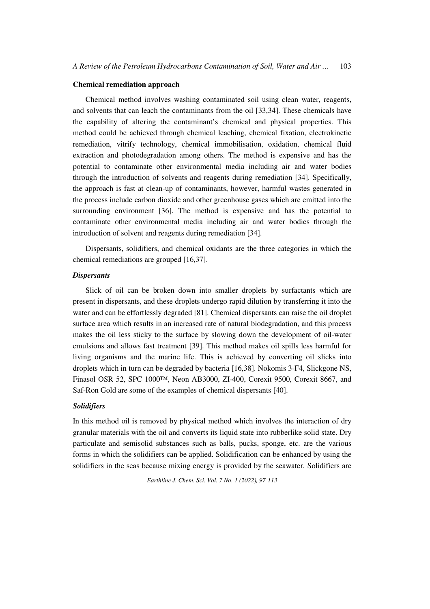#### **Chemical remediation approach**

Chemical method involves washing contaminated soil using clean water, reagents, and solvents that can leach the contaminants from the oil [33,34]. These chemicals have the capability of altering the contaminant's chemical and physical properties. This method could be achieved through chemical leaching, chemical fixation, electrokinetic remediation, vitrify technology, chemical immobilisation, oxidation, chemical fluid extraction and photodegradation among others. The method is expensive and has the potential to contaminate other environmental media including air and water bodies through the introduction of solvents and reagents during remediation [34]. Specifically, the approach is fast at clean-up of contaminants, however, harmful wastes generated in the process include carbon dioxide and other greenhouse gases which are emitted into the surrounding environment [36]. The method is expensive and has the potential to contaminate other environmental media including air and water bodies through the introduction of solvent and reagents during remediation [34].

Dispersants, solidifiers, and chemical oxidants are the three categories in which the chemical remediations are grouped [16,37].

### *Dispersants*

Slick of oil can be broken down into smaller droplets by surfactants which are present in dispersants, and these droplets undergo rapid dilution by transferring it into the water and can be effortlessly degraded [81]. Chemical dispersants can raise the oil droplet surface area which results in an increased rate of natural biodegradation, and this process makes the oil less sticky to the surface by slowing down the development of oil-water emulsions and allows fast treatment [39]. This method makes oil spills less harmful for living organisms and the marine life. This is achieved by converting oil slicks into droplets which in turn can be degraded by bacteria [16,38]. Nokomis 3-F4, Slickgone NS, Finasol OSR 52, SPC 1000™, Neon AB3000, ZI-400, Corexit 9500, Corexit 8667, and Saf-Ron Gold are some of the examples of chemical dispersants [40].

# *Solidifiers*

In this method oil is removed by physical method which involves the interaction of dry granular materials with the oil and converts its liquid state into rubberlike solid state. Dry particulate and semisolid substances such as balls, pucks, sponge, etc. are the various forms in which the solidifiers can be applied. Solidification can be enhanced by using the solidifiers in the seas because mixing energy is provided by the seawater. Solidifiers are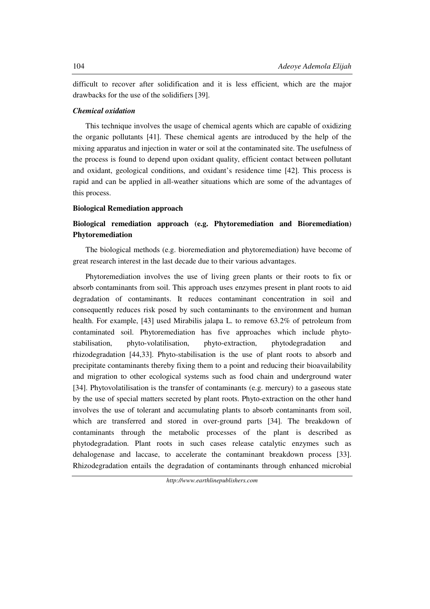difficult to recover after solidification and it is less efficient, which are the major drawbacks for the use of the solidifiers [39].

### *Chemical oxidation*

This technique involves the usage of chemical agents which are capable of oxidizing the organic pollutants [41]. These chemical agents are introduced by the help of the mixing apparatus and injection in water or soil at the contaminated site. The usefulness of the process is found to depend upon oxidant quality, efficient contact between pollutant and oxidant, geological conditions, and oxidant's residence time [42]. This process is rapid and can be applied in all-weather situations which are some of the advantages of this process.

### **Biological Remediation approach**

# **Biological remediation approach (e.g. Phytoremediation and Bioremediation) Phytoremediation**

The biological methods (e.g. bioremediation and phytoremediation) have become of great research interest in the last decade due to their various advantages.

Phytoremediation involves the use of living green plants or their roots to fix or absorb contaminants from soil. This approach uses enzymes present in plant roots to aid degradation of contaminants. It reduces contaminant concentration in soil and consequently reduces risk posed by such contaminants to the environment and human health. For example, [43] used Mirabilis jalapa L. to remove 63.2% of petroleum from contaminated soil. Phytoremediation has five approaches which include phytostabilisation, phyto-volatilisation, phyto-extraction, phytodegradation and rhizodegradation [44,33]. Phyto-stabilisation is the use of plant roots to absorb and precipitate contaminants thereby fixing them to a point and reducing their bioavailability and migration to other ecological systems such as food chain and underground water [34]. Phytovolatilisation is the transfer of contaminants (e.g. mercury) to a gaseous state by the use of special matters secreted by plant roots. Phyto-extraction on the other hand involves the use of tolerant and accumulating plants to absorb contaminants from soil, which are transferred and stored in over-ground parts [34]. The breakdown of contaminants through the metabolic processes of the plant is described as phytodegradation. Plant roots in such cases release catalytic enzymes such as dehalogenase and laccase, to accelerate the contaminant breakdown process [33]. Rhizodegradation entails the degradation of contaminants through enhanced microbial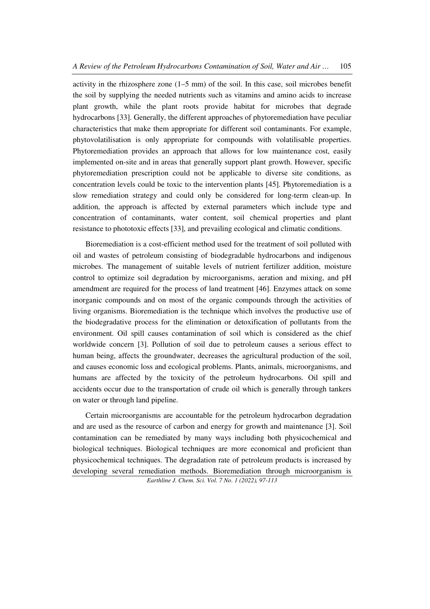activity in the rhizosphere zone (1–5 mm) of the soil. In this case, soil microbes benefit the soil by supplying the needed nutrients such as vitamins and amino acids to increase plant growth, while the plant roots provide habitat for microbes that degrade hydrocarbons [33]. Generally, the different approaches of phytoremediation have peculiar characteristics that make them appropriate for different soil contaminants. For example, phytovolatilisation is only appropriate for compounds with volatilisable properties. Phytoremediation provides an approach that allows for low maintenance cost, easily implemented on-site and in areas that generally support plant growth. However, specific phytoremediation prescription could not be applicable to diverse site conditions, as concentration levels could be toxic to the intervention plants [45]. Phytoremediation is a slow remediation strategy and could only be considered for long-term clean-up. In addition, the approach is affected by external parameters which include type and concentration of contaminants, water content, soil chemical properties and plant resistance to phototoxic effects [33], and prevailing ecological and climatic conditions.

Bioremediation is a cost-efficient method used for the treatment of soil polluted with oil and wastes of petroleum consisting of biodegradable hydrocarbons and indigenous microbes. The management of suitable levels of nutrient fertilizer addition, moisture control to optimize soil degradation by microorganisms, aeration and mixing, and pH amendment are required for the process of land treatment [46]. Enzymes attack on some inorganic compounds and on most of the organic compounds through the activities of living organisms. Bioremediation is the technique which involves the productive use of the biodegradative process for the elimination or detoxification of pollutants from the environment. Oil spill causes contamination of soil which is considered as the chief worldwide concern [3]. Pollution of soil due to petroleum causes a serious effect to human being, affects the groundwater, decreases the agricultural production of the soil, and causes economic loss and ecological problems. Plants, animals, microorganisms, and humans are affected by the toxicity of the petroleum hydrocarbons. Oil spill and accidents occur due to the transportation of crude oil which is generally through tankers on water or through land pipeline.

Certain microorganisms are accountable for the petroleum hydrocarbon degradation and are used as the resource of carbon and energy for growth and maintenance [3]. Soil contamination can be remediated by many ways including both physicochemical and biological techniques. Biological techniques are more economical and proficient than physicochemical techniques. The degradation rate of petroleum products is increased by developing several remediation methods. Bioremediation through microorganism is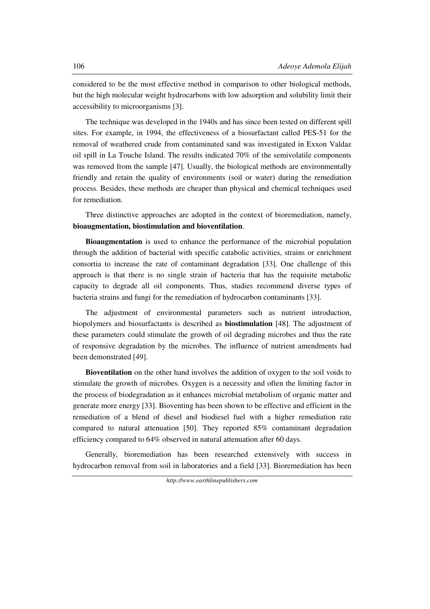considered to be the most effective method in comparison to other biological methods, but the high molecular weight hydrocarbons with low adsorption and solubility limit their accessibility to microorganisms [3].

The technique was developed in the 1940s and has since been tested on different spill sites. For example, in 1994, the effectiveness of a biosurfactant called PES-51 for the removal of weathered crude from contaminated sand was investigated in Exxon Valdaz oil spill in La Touche Island. The results indicated 70% of the semivolatile components was removed from the sample [47]. Usually, the biological methods are environmentally friendly and retain the quality of environments (soil or water) during the remediation process. Besides, these methods are cheaper than physical and chemical techniques used for remediation.

Three distinctive approaches are adopted in the context of bioremediation, namely, **bioaugmentation, biostimulation and bioventilation**.

**Bioaugmentation** is used to enhance the performance of the microbial population through the addition of bacterial with specific catabolic activities, strains or enrichment consortia to increase the rate of contaminant degradation [33]. One challenge of this approach is that there is no single strain of bacteria that has the requisite metabolic capacity to degrade all oil components. Thus, studies recommend diverse types of bacteria strains and fungi for the remediation of hydrocarbon contaminants [33].

The adjustment of environmental parameters such as nutrient introduction, biopolymers and biosurfactants is described as **biostimulation** [48]. The adjustment of these parameters could stimulate the growth of oil degrading microbes and thus the rate of responsive degradation by the microbes. The influence of nutrient amendments had been demonstrated [49].

**Bioventilation** on the other hand involves the addition of oxygen to the soil voids to stimulate the growth of microbes. Oxygen is a necessity and often the limiting factor in the process of biodegradation as it enhances microbial metabolism of organic matter and generate more energy [33]. Bioventing has been shown to be effective and efficient in the remediation of a blend of diesel and biodiesel fuel with a higher remediation rate compared to natural attenuation [50]. They reported 85% contaminant degradation efficiency compared to 64% observed in natural attenuation after 60 days.

Generally, bioremediation has been researched extensively with success in hydrocarbon removal from soil in laboratories and a field [33]. Bioremediation has been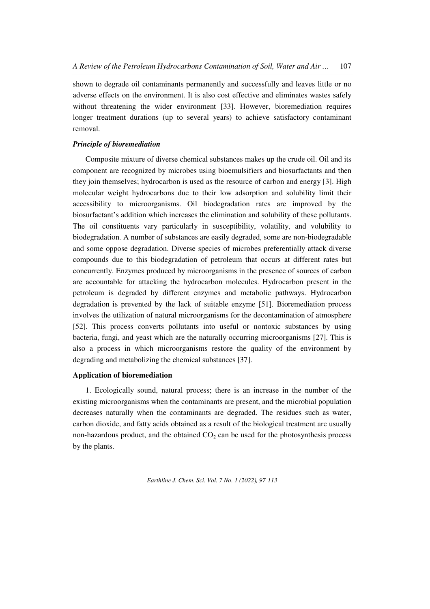shown to degrade oil contaminants permanently and successfully and leaves little or no adverse effects on the environment. It is also cost effective and eliminates wastes safely without threatening the wider environment [33]. However, bioremediation requires longer treatment durations (up to several years) to achieve satisfactory contaminant removal.

#### *Principle of bioremediation*

Composite mixture of diverse chemical substances makes up the crude oil. Oil and its component are recognized by microbes using bioemulsifiers and biosurfactants and then they join themselves; hydrocarbon is used as the resource of carbon and energy [3]. High molecular weight hydrocarbons due to their low adsorption and solubility limit their accessibility to microorganisms. Oil biodegradation rates are improved by the biosurfactant's addition which increases the elimination and solubility of these pollutants. The oil constituents vary particularly in susceptibility, volatility, and volubility to biodegradation. A number of substances are easily degraded, some are non-biodegradable and some oppose degradation. Diverse species of microbes preferentially attack diverse compounds due to this biodegradation of petroleum that occurs at different rates but concurrently. Enzymes produced by microorganisms in the presence of sources of carbon are accountable for attacking the hydrocarbon molecules. Hydrocarbon present in the petroleum is degraded by different enzymes and metabolic pathways. Hydrocarbon degradation is prevented by the lack of suitable enzyme [51]. Bioremediation process involves the utilization of natural microorganisms for the decontamination of atmosphere [52]. This process converts pollutants into useful or nontoxic substances by using bacteria, fungi, and yeast which are the naturally occurring microorganisms [27]. This is also a process in which microorganisms restore the quality of the environment by degrading and metabolizing the chemical substances [37].

#### **Application of bioremediation**

1. Ecologically sound, natural process; there is an increase in the number of the existing microorganisms when the contaminants are present, and the microbial population decreases naturally when the contaminants are degraded. The residues such as water, carbon dioxide, and fatty acids obtained as a result of the biological treatment are usually non-hazardous product, and the obtained  $CO<sub>2</sub>$  can be used for the photosynthesis process by the plants.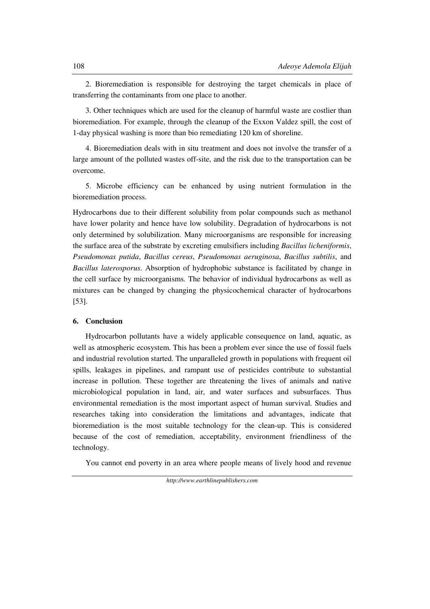2. Bioremediation is responsible for destroying the target chemicals in place of transferring the contaminants from one place to another.

3. Other techniques which are used for the cleanup of harmful waste are costlier than bioremediation. For example, through the cleanup of the Exxon Valdez spill, the cost of 1-day physical washing is more than bio remediating 120 km of shoreline.

4. Bioremediation deals with in situ treatment and does not involve the transfer of a large amount of the polluted wastes off-site, and the risk due to the transportation can be overcome.

5. Microbe efficiency can be enhanced by using nutrient formulation in the bioremediation process.

Hydrocarbons due to their different solubility from polar compounds such as methanol have lower polarity and hence have low solubility. Degradation of hydrocarbons is not only determined by solubilization. Many microorganisms are responsible for increasing the surface area of the substrate by excreting emulsifiers including *Bacillus licheniformis*, *Pseudomonas putida*, *Bacillus cereus*, *Pseudomonas aeruginosa*, *Bacillus subtilis*, and *Bacillus laterosporus*. Absorption of hydrophobic substance is facilitated by change in the cell surface by microorganisms. The behavior of individual hydrocarbons as well as mixtures can be changed by changing the physicochemical character of hydrocarbons [53].

### **6. Conclusion**

Hydrocarbon pollutants have a widely applicable consequence on land, aquatic, as well as atmospheric ecosystem. This has been a problem ever since the use of fossil fuels and industrial revolution started. The unparalleled growth in populations with frequent oil spills, leakages in pipelines, and rampant use of pesticides contribute to substantial increase in pollution. These together are threatening the lives of animals and native microbiological population in land, air, and water surfaces and subsurfaces. Thus environmental remediation is the most important aspect of human survival. Studies and researches taking into consideration the limitations and advantages, indicate that bioremediation is the most suitable technology for the clean-up. This is considered because of the cost of remediation, acceptability, environment friendliness of the technology.

You cannot end poverty in an area where people means of lively hood and revenue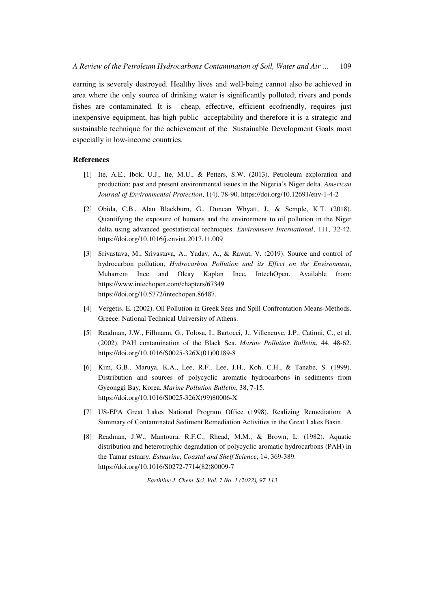earning is severely destroyed. Healthy lives and well-being cannot also be achieved in area where the only source of drinking water is significantly polluted; rivers and ponds fishes are contaminated. It is cheap, effective, efficient ecofriendly, requires just inexpensive equipment, has high public acceptability and therefore it is a strategic and sustainable technique for the achievement of the Sustainable Development Goals most especially in low-income countries.

### **References**

- [1] Ite, A.E., Ibok, U.J., Ite, M.U., & Petters, S.W. (2013). Petroleum exploration and production: past and present environmental issues in the Nigeria's Niger delta. *American Journal of Environmental Protection*, 1(4), 78-90. https://doi.org/10.12691/env-1-4-2
- [2] Obida, C.B., Alan Blackburn, G., Duncan Whyatt, J., & Semple, K.T. (2018). Quantifying the exposure of humans and the environment to oil pollution in the Niger delta using advanced geostatistical techniques. *Environment International*, 111, 32-42. https://doi.org/10.1016/j.envint.2017.11.009
- [3] Srivastava, M., Srivastava, A., Yadav, A., & Rawat, V. (2019). Source and control of hydrocarbon pollution, *Hydrocarbon Pollution and its Effect on the Environment*, Muharrem Ince and Olcay Kaplan Ince, IntechOpen. Available from: https://www.intechopen.com/chapters/67349 https://doi.org/10.5772/intechopen.86487.
- [4] Vergetis, E. (2002). Oil Pollution in Greek Seas and Spill Confrontation Means-Methods. Greece: National Technical University of Athens.
- [5] Readman, J.W., Fillmann, G., Tolosa, I., Bartocci, J., Villeneuve, J.P., Catinni, C., et al. (2002). PAH contamination of the Black Sea. *Marine Pollution Bulletin*, 44, 48-62. https://doi.org/10.1016/S0025-326X(01)00189-8
- [6] Kim, G.B., Maruya, K.A., Lee, R.F., Lee, J.H., Koh, C.H., & Tanabe, S. (1999). Distribution and sources of polycyclic aromatic hydrocarbons in sediments from Gyeonggi Bay, Korea. *Marine Pollution Bulletin*, 38, 7-15. https://doi.org/10.1016/S0025-326X(99)80006-X
- [7] US-EPA Great Lakes National Program Office (1998). Realizing Remediation: A Summary of Contaminated Sediment Remediation Activities in the Great Lakes Basin.
- [8] Readman, J.W., Mantoura, R.F.C., Rhead, M.M., & Brown, L. (1982). Aquatic distribution and heterotrophic degradation of polycyclic aromatic hydrocarbons (PAH) in the Tamar estuary. *Estuarine*, *Coastal and Shelf Science*, 14, 369-389. https://doi.org/10.1016/S0272-7714(82)80009-7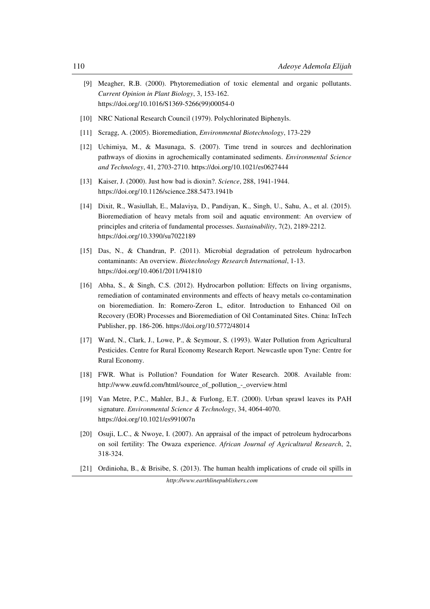- [9] Meagher, R.B. (2000). Phytoremediation of toxic elemental and organic pollutants. *Current Opinion in Plant Biology*, 3, 153-162. https://doi.org/10.1016/S1369-5266(99)00054-0
- [10] NRC National Research Council (1979). Polychlorinated Biphenyls.
- [11] Scragg, A. (2005). Bioremediation, *Environmental Biotechnology*, 173-229
- [12] Uchimiya, M., & Masunaga, S. (2007). Time trend in sources and dechlorination pathways of dioxins in agrochemically contaminated sediments. *Environmental Science and Technology*, 41, 2703-2710. https://doi.org/10.1021/es0627444
- [13] Kaiser, J. (2000). Just how bad is dioxin?. *Science*, 288, 1941-1944. https://doi.org/10.1126/science.288.5473.1941b
- [14] Dixit, R., Wasiullah, E., Malaviya, D., Pandiyan, K., Singh, U., Sahu, A., et al. (2015). Bioremediation of heavy metals from soil and aquatic environment: An overview of principles and criteria of fundamental processes. *Sustainability*, 7(2), 2189-2212. https://doi.org/10.3390/su7022189
- [15] Das, N., & Chandran, P. (2011). Microbial degradation of petroleum hydrocarbon contaminants: An overview. *Biotechnology Research International*, 1-13. https://doi.org/10.4061/2011/941810
- [16] Abha, S., & Singh, C.S. (2012). Hydrocarbon pollution: Effects on living organisms, remediation of contaminated environments and effects of heavy metals co-contamination on bioremediation. In: Romero-Zeron L, editor. Introduction to Enhanced Oil on Recovery (EOR) Processes and Bioremediation of Oil Contaminated Sites. China: InTech Publisher, pp. 186-206. https://doi.org/10.5772/48014
- [17] Ward, N., Clark, J., Lowe, P., & Seymour, S. (1993). Water Pollution from Agricultural Pesticides. Centre for Rural Economy Research Report. Newcastle upon Tyne: Centre for Rural Economy.
- [18] FWR. What is Pollution? Foundation for Water Research. 2008. Available from: http://www.euwfd.com/html/source\_of\_pollution\_-\_overview.html
- [19] Van Metre, P.C., Mahler, B.J., & Furlong, E.T. (2000). Urban sprawl leaves its PAH signature. *Environmental Science & Technology*, 34, 4064-4070. https://doi.org/10.1021/es991007n
- [20] Osuji, L.C., & Nwoye, I. (2007). An appraisal of the impact of petroleum hydrocarbons on soil fertility: The Owaza experience. *African Journal of Agricultural Research*, 2, 318-324.
- [21] Ordinioha, B., & Brisibe, S. (2013). The human health implications of crude oil spills in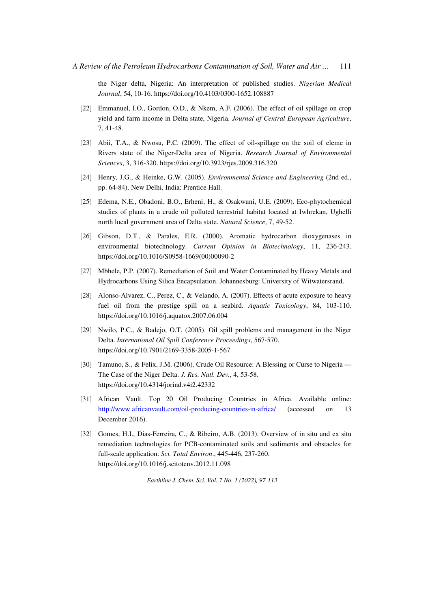the Niger delta, Nigeria: An interpretation of published studies. *Nigerian Medical Journal*, 54, 10-16. https://doi.org/10.4103/0300-1652.108887

- [22] Emmanuel, I.O., Gordon, O.D., & Nkem, A.F. (2006). The effect of oil spillage on crop yield and farm income in Delta state, Nigeria. *Journal of Central European Agriculture*, 7, 41-48.
- [23] Abii, T.A., & Nwosu, P.C. (2009). The effect of oil-spillage on the soil of eleme in Rivers state of the Niger-Delta area of Nigeria. *Research Journal of Environmental Sciences*, 3, 316-320. https://doi.org/10.3923/rjes.2009.316.320
- [24] Henry, J.G., & Heinke, G.W. (2005). *Environmental Science and Engineering* (2nd ed., pp. 64-84). New Delhi, India: Prentice Hall.
- [25] Edema, N.E., Obadoni, B.O., Erheni, H., & Osakwuni, U.E. (2009). Eco-phytochemical studies of plants in a crude oil polluted terrestrial habitat located at Iwhrekan, Ughelli north local government area of Delta state. *Natural Science*, 7, 49-52.
- [26] Gibson, D.T., & Parales, E.R. (2000). Aromatic hydrocarbon dioxygenases in environmental biotechnology. *Current Opinion in Biotechnology*, 11, 236-243. https://doi.org/10.1016/S0958-1669(00)00090-2
- [27] Mbhele, P.P. (2007). Remediation of Soil and Water Contaminated by Heavy Metals and Hydrocarbons Using Silica Encapsulation. Johannesburg: University of Witwatersrand.
- [28] Alonso-Alvarez, C., Perez, C., & Velando, A. (2007). Effects of acute exposure to heavy fuel oil from the prestige spill on a seabird. *Aquatic Toxicology*, 84, 103-110. https://doi.org/10.1016/j.aquatox.2007.06.004
- [29] Nwilo, P.C., & Badejo, O.T. (2005). Oil spill problems and management in the Niger Delta. *International Oil Spill Conference Proceedings*, 567-570. https://doi.org/10.7901/2169-3358-2005-1-567
- [30] Tamuno, S., & Felix, J.M. (2006). Crude Oil Resource: A Blessing or Curse to Nigeria The Case of the Niger Delta. *J. Res. Natl. Dev.*, 4, 53-58. https://doi.org/10.4314/jorind.v4i2.42332
- [31] African Vault. Top 20 Oil Producing Countries in Africa. Available online: http://www.africanvault.com/oil-producing-countries-in-africa/ (accessed on 13 December 2016).
- [32] Gomes, H.I., Dias-Ferreira, C., & Ribeiro, A.B. (2013). Overview of in situ and ex situ remediation technologies for PCB-contaminated soils and sediments and obstacles for full-scale application. *Sci. Total Environ*., 445-446, 237-260. https://doi.org/10.1016/j.scitotenv.2012.11.098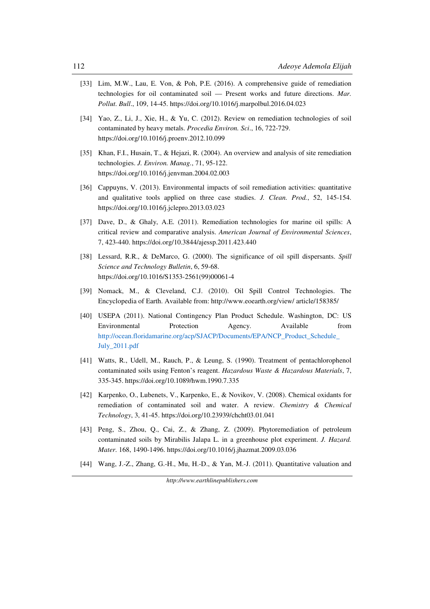- [33] Lim, M.W., Lau, E. Von, & Poh, P.E. (2016). A comprehensive guide of remediation technologies for oil contaminated soil — Present works and future directions. *Mar. Pollut. Bull*., 109, 14-45. https://doi.org/10.1016/j.marpolbul.2016.04.023
- [34] Yao, Z., Li, J., Xie, H., & Yu, C. (2012). Review on remediation technologies of soil contaminated by heavy metals. *Procedia Environ. Sci*., 16, 722-729. https://doi.org/10.1016/j.proenv.2012.10.099
- [35] Khan, F.I., Husain, T., & Hejazi, R. (2004). An overview and analysis of site remediation technologies. *J. Environ. Manag.*, 71, 95-122. https://doi.org/10.1016/j.jenvman.2004.02.003
- [36] Cappuyns, V. (2013). Environmental impacts of soil remediation activities: quantitative and qualitative tools applied on three case studies. *J. Clean. Prod.*, 52, 145-154. https://doi.org/10.1016/j.jclepro.2013.03.023
- [37] Dave, D., & Ghaly, A.E. (2011). Remediation technologies for marine oil spills: A critical review and comparative analysis. *American Journal of Environmental Sciences*, 7, 423-440. https://doi.org/10.3844/ajessp.2011.423.440
- [38] Lessard, R.R., & DeMarco, G. (2000). The significance of oil spill dispersants. *Spill Science and Technology Bulletin*, 6, 59-68. https://doi.org/10.1016/S1353-2561(99)00061-4
- [39] Nomack, M., & Cleveland, C.J. (2010). Oil Spill Control Technologies. The Encyclopedia of Earth. Available from: http://www.eoearth.org/view/ article/158385/
- [40] USEPA (2011). National Contingency Plan Product Schedule. Washington, DC: US Environmental Protection Agency. Available from http://ocean.floridamarine.org/acp/SJACP/Documents/EPA/NCP\_Product\_Schedule\_ July\_2011.pdf
- [41] Watts, R., Udell, M., Rauch, P., & Leung, S. (1990). Treatment of pentachlorophenol contaminated soils using Fenton's reagent. *Hazardous Waste & Hazardous Materials*, 7, 335-345. https://doi.org/10.1089/hwm.1990.7.335
- [42] Karpenko, O., Lubenets, V., Karpenko, E., & Novikov, V. (2008). Chemical oxidants for remediation of contaminated soil and water. A review. *Chemistry & Chemical Technology*, 3, 41-45. https://doi.org/10.23939/chcht03.01.041
- [43] Peng, S., Zhou, Q., Cai, Z., & Zhang, Z. (2009). Phytoremediation of petroleum contaminated soils by Mirabilis Jalapa L. in a greenhouse plot experiment. *J. Hazard. Mater.* 168, 1490-1496. https://doi.org/10.1016/j.jhazmat.2009.03.036
- [44] Wang, J.-Z., Zhang, G.-H., Mu, H.-D., & Yan, M.-J. (2011). Quantitative valuation and